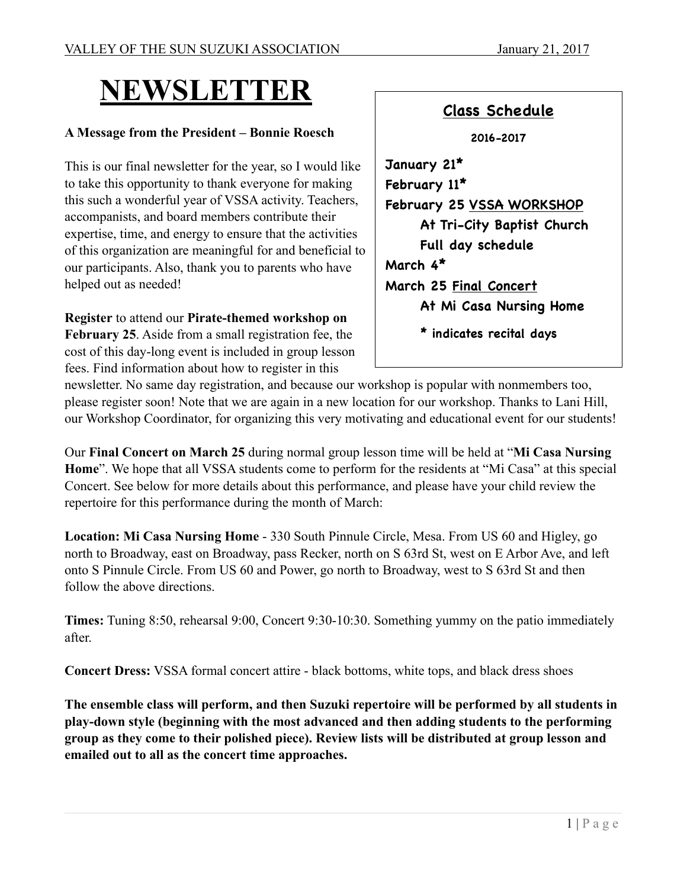# **NEWSLETTER**

#### **A Message from the President – Bonnie Roesch**

This is our final newsletter for the year, so I would like to take this opportunity to thank everyone for making this such a wonderful year of VSSA activity. Teachers, accompanists, and board members contribute their expertise, time, and energy to ensure that the activities of this organization are meaningful for and beneficial to our participants. Also, thank you to parents who have helped out as needed!

**Register** to attend our **Pirate-themed workshop on**  February 25. Aside from a small registration fee, the cost of this day-long event is included in group lesson fees. Find information about how to register in this



newsletter. No same day registration, and because our workshop is popular with nonmembers too, please register soon! Note that we are again in a new location for our workshop. Thanks to Lani Hill, our Workshop Coordinator, for organizing this very motivating and educational event for our students!

Our **Final Concert on March 25** during normal group lesson time will be held at "**Mi Casa Nursing Home**". We hope that all VSSA students come to perform for the residents at "Mi Casa" at this special Concert. See below for more details about this performance, and please have your child review the repertoire for this performance during the month of March:

**Location: Mi Casa Nursing Home** - 330 South Pinnule Circle, Mesa. From US 60 and Higley, go north to Broadway, east on Broadway, pass Recker, north on S 63rd St, west on E Arbor Ave, and left onto S Pinnule Circle. From US 60 and Power, go north to Broadway, west to S 63rd St and then follow the above directions.

**Times:** Tuning 8:50, rehearsal 9:00, Concert 9:30-10:30. Something yummy on the patio immediately after.

**Concert Dress:** VSSA formal concert attire - black bottoms, white tops, and black dress shoes

**The ensemble class will perform, and then Suzuki repertoire will be performed by all students in play-down style (beginning with the most advanced and then adding students to the performing group as they come to their polished piece). Review lists will be distributed at group lesson and emailed out to all as the concert time approaches.**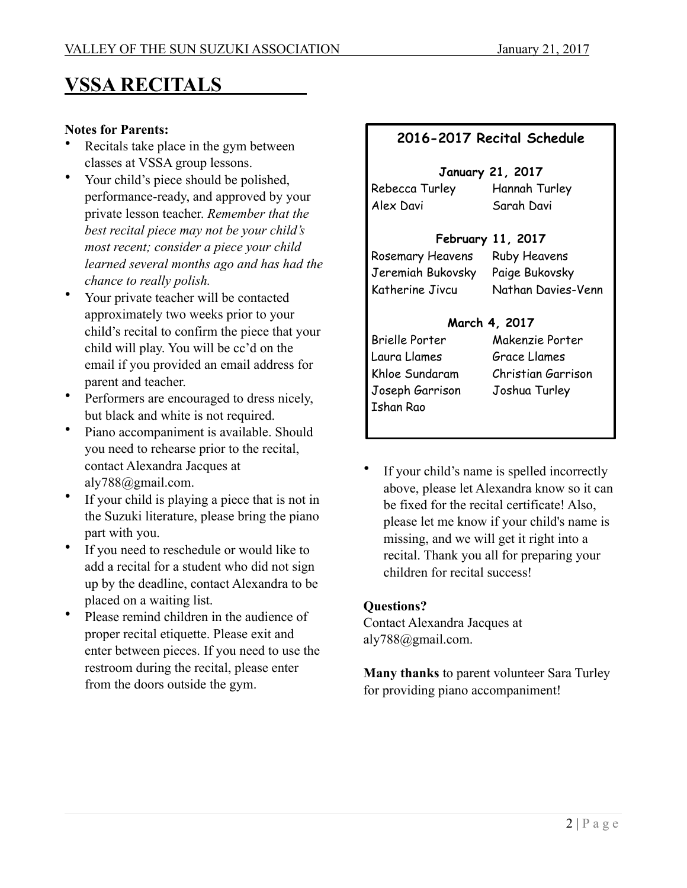## **VSSA RECITALS**

#### **Notes for Parents:**

- Recitals take place in the gym between classes at VSSA group lessons.
- Your child's piece should be polished, performance-ready, and approved by your private lesson teacher. *Remember that the best recital piece may not be your child's most recent; consider a piece your child learned several months ago and has had the chance to really polish.*
- Your private teacher will be contacted approximately two weeks prior to your child's recital to confirm the piece that your child will play. You will be cc'd on the email if you provided an email address for parent and teacher.
- Performers are encouraged to dress nicely, but black and white is not required.
- Piano accompaniment is available. Should you need to rehearse prior to the recital, contact Alexandra Jacques at aly788@gmail.com.
- If your child is playing a piece that is not in the Suzuki literature, please bring the piano part with you.
- If you need to reschedule or would like to add a recital for a student who did not sign up by the deadline, contact Alexandra to be placed on a waiting list.
- Please remind children in the audience of proper recital etiquette. Please exit and enter between pieces. If you need to use the restroom during the recital, please enter from the doors outside the gym.

### **2016-2017 Recital Schedule**

## **January 21, 2017**

Alex Davi Sarah Davi

Rebecca Turley Hannah Turley

### **February 11, 2017**

Rosemary Heavens Ruby Heavens Jeremiah Bukovsky Paige Bukovsky

Katherine Jivcu Nathan Davies-Venn

### **March 4, 2017**

Laura Llames Grace Llames Joseph Garrison Joshua Turley Ishan Rao

Brielle Porter Makenzie Porter Khloe Sundaram Christian Garrison

If your child's name is spelled incorrectly above, please let Alexandra know so it can be fixed for the recital certificate! Also, please let me know if your child's name is missing, and we will get it right into a recital. Thank you all for preparing your children for recital success!

### **Questions?**

Contact Alexandra Jacques at aly788@gmail.com.

**Many thanks** to parent volunteer Sara Turley for providing piano accompaniment!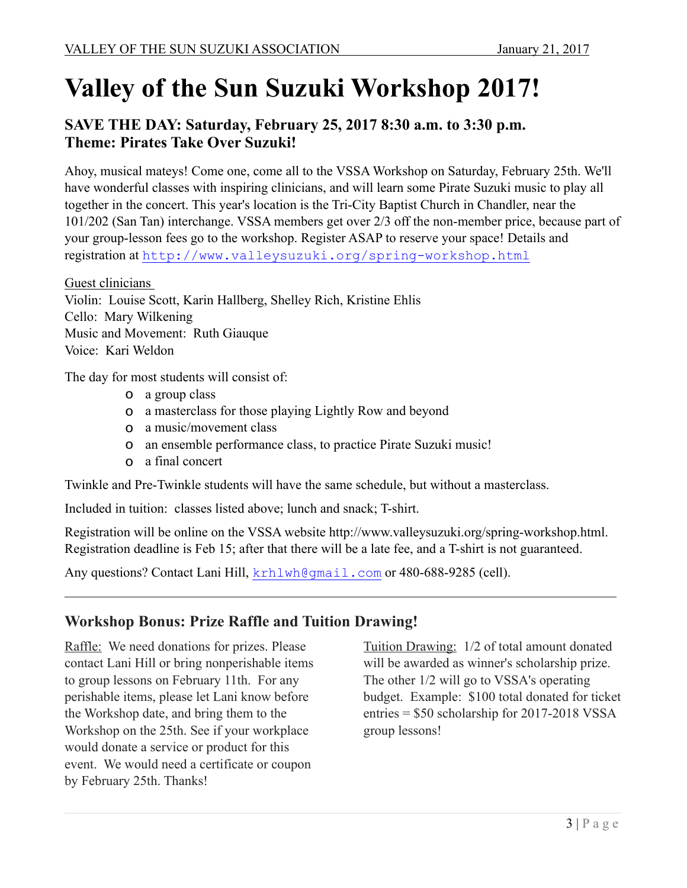# **Valley of the Sun Suzuki Workshop 2017!**

## **SAVE THE DAY: Saturday, February 25, 2017 8:30 a.m. to 3:30 p.m. Theme: Pirates Take Over Suzuki!**

Ahoy, musical mateys! Come one, come all to the VSSA Workshop on Saturday, February 25th. We'll have wonderful classes with inspiring clinicians, and will learn some Pirate Suzuki music to play all together in the concert. This year's location is the Tri-City Baptist Church in Chandler, near the 101/202 (San Tan) interchange. VSSA members get over 2/3 off the non-member price, because part of your group-lesson fees go to the workshop. Register ASAP to reserve your space! Details and registration at <http://www.valleysuzuki.org/spring-workshop.html>

Guest clinicians

Violin: Louise Scott, Karin Hallberg, Shelley Rich, Kristine Ehlis Cello: Mary Wilkening Music and Movement: Ruth Giauque Voice: Kari Weldon

The day for most students will consist of:

- o a group class
- o a masterclass for those playing Lightly Row and beyond
- o a music/movement class
- o an ensemble performance class, to practice Pirate Suzuki music!
- o a final concert

Twinkle and Pre-Twinkle students will have the same schedule, but without a masterclass.

Included in tuition: classes listed above; lunch and snack; T-shirt.

Registration will be online on the VSSA website http://www.valleysuzuki.org/spring-workshop.html. Registration deadline is Feb 15; after that there will be a late fee, and a T-shirt is not guaranteed.

 $\_$  , and the contribution of the contribution of the contribution of the contribution of  $\mathcal{L}_\text{max}$ 

Any questions? Contact Lani Hill, [krhlwh@gmail.com](mailto:krhlwh@gmail.com) or 480-688-9285 (cell).

### **Workshop Bonus: Prize Raffle and Tuition Drawing!**

Raffle: We need donations for prizes. Please contact Lani Hill or bring nonperishable items to group lessons on February 11th. For any perishable items, please let Lani know before the Workshop date, and bring them to the Workshop on the 25th. See if your workplace would donate a service or product for this event. We would need a certificate or coupon by February 25th. Thanks!

Tuition Drawing: 1/2 of total amount donated will be awarded as winner's scholarship prize. The other 1/2 will go to VSSA's operating budget. Example: \$100 total donated for ticket entries = \$50 scholarship for 2017-2018 VSSA group lessons!